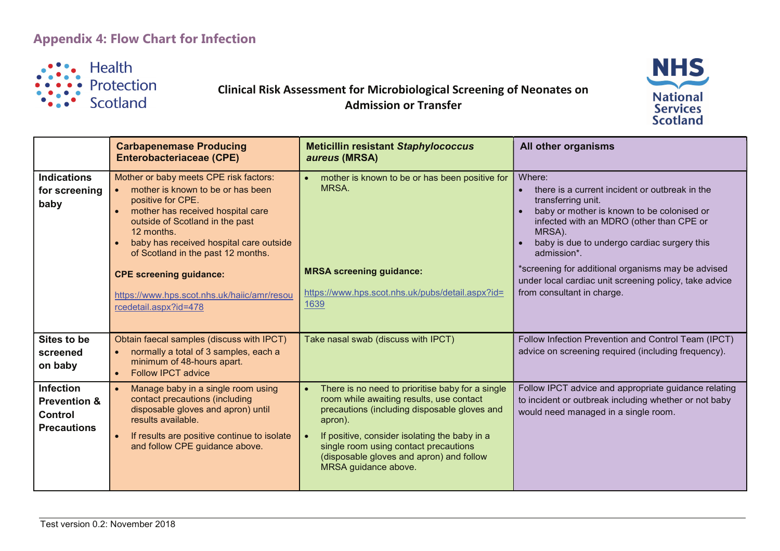## **Appendix 4: Flow Chart for Infection**



## Clinical Risk Assessment for Microbiological Screening of Neonates on Admission or Transfer



|                                                                                     | <b>Carbapenemase Producing</b><br><b>Enterobacteriaceae (CPE)</b>                                                                                                                                                                                                                    | <b>Meticillin resistant Staphylococcus</b><br>aureus (MRSA)                                                                                                                                                                                                                                                           | All other organisms                                                                                                                                                                                                                                                                                    |
|-------------------------------------------------------------------------------------|--------------------------------------------------------------------------------------------------------------------------------------------------------------------------------------------------------------------------------------------------------------------------------------|-----------------------------------------------------------------------------------------------------------------------------------------------------------------------------------------------------------------------------------------------------------------------------------------------------------------------|--------------------------------------------------------------------------------------------------------------------------------------------------------------------------------------------------------------------------------------------------------------------------------------------------------|
| <b>Indications</b><br>for screening<br>baby                                         | Mother or baby meets CPE risk factors:<br>mother is known to be or has been<br>$\bullet$<br>positive for CPE.<br>mother has received hospital care<br>outside of Scotland in the past<br>12 months.<br>baby has received hospital care outside<br>of Scotland in the past 12 months. | mother is known to be or has been positive for<br>MRSA.<br><b>MRSA screening guidance:</b>                                                                                                                                                                                                                            | Where:<br>there is a current incident or outbreak in the<br>transferring unit.<br>baby or mother is known to be colonised or<br>infected with an MDRO (other than CPE or<br>MRSA).<br>baby is due to undergo cardiac surgery this<br>admission*.<br>*screening for additional organisms may be advised |
|                                                                                     | <b>CPE screening guidance:</b><br>https://www.hps.scot.nhs.uk/haiic/amr/resou<br>rcedetail.aspx?id=478                                                                                                                                                                               | https://www.hps.scot.nhs.uk/pubs/detail.aspx?id=<br>1639                                                                                                                                                                                                                                                              | under local cardiac unit screening policy, take advice<br>from consultant in charge.                                                                                                                                                                                                                   |
| Sites to be<br>screened<br>on baby                                                  | Obtain faecal samples (discuss with IPCT)<br>normally a total of 3 samples, each a<br>minimum of 48-hours apart.<br><b>Follow IPCT advice</b><br>$\bullet$                                                                                                                           | Take nasal swab (discuss with IPCT)                                                                                                                                                                                                                                                                                   | Follow Infection Prevention and Control Team (IPCT)<br>advice on screening required (including frequency).                                                                                                                                                                                             |
| <b>Infection</b><br><b>Prevention &amp;</b><br><b>Control</b><br><b>Precautions</b> | Manage baby in a single room using<br>contact precautions (including<br>disposable gloves and apron) until<br>results available.<br>If results are positive continue to isolate<br>and follow CPE guidance above.                                                                    | There is no need to prioritise baby for a single<br>room while awaiting results, use contact<br>precautions (including disposable gloves and<br>apron).<br>If positive, consider isolating the baby in a<br>single room using contact precautions<br>(disposable gloves and apron) and follow<br>MRSA guidance above. | Follow IPCT advice and appropriate guidance relating<br>to incident or outbreak including whether or not baby<br>would need managed in a single room.                                                                                                                                                  |